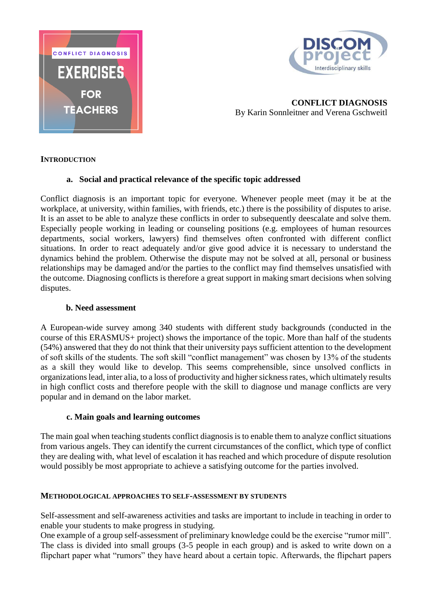



**CONFLICT DIAGNOSIS** By Karin Sonnleitner and Verena Gschweitl

## **INTRODUCTION**

## **a. Social and practical relevance of the specific topic addressed**

Conflict diagnosis is an important topic for everyone. Whenever people meet (may it be at the workplace, at university, within families, with friends, etc.) there is the possibility of disputes to arise. It is an asset to be able to analyze these conflicts in order to subsequently deescalate and solve them. Especially people working in leading or counseling positions (e.g. employees of human resources departments, social workers, lawyers) find themselves often confronted with different conflict situations. In order to react adequately and/or give good advice it is necessary to understand the dynamics behind the problem. Otherwise the dispute may not be solved at all, personal or business relationships may be damaged and/or the parties to the conflict may find themselves unsatisfied with the outcome. Diagnosing conflicts is therefore a great support in making smart decisions when solving disputes.

## **b. Need assessment**

A European-wide survey among 340 students with different study backgrounds (conducted in the course of this ERASMUS+ project) shows the importance of the topic. More than half of the students (54%) answered that they do not think that their university pays sufficient attention to the development of soft skills of the students. The soft skill "conflict management" was chosen by 13% of the students as a skill they would like to develop. This seems comprehensible, since unsolved conflicts in organizations lead, inter alia, to a loss of productivity and higher sickness rates, which ultimately results in high conflict costs and therefore people with the skill to diagnose und manage conflicts are very popular and in demand on the labor market.

## **c. Main goals and learning outcomes**

The main goal when teaching students conflict diagnosis is to enable them to analyze conflict situations from various angels. They can identify the current circumstances of the conflict, which type of conflict they are dealing with, what level of escalation it has reached and which procedure of dispute resolution would possibly be most appropriate to achieve a satisfying outcome for the parties involved.

## **METHODOLOGICAL APPROACHES TO SELF-ASSESSMENT BY STUDENTS**

Self-assessment and self-awareness activities and tasks are important to include in teaching in order to enable your students to make progress in studying.

One example of a group self-assessment of preliminary knowledge could be the exercise "rumor mill". The class is divided into small groups (3-5 people in each group) and is asked to write down on a flipchart paper what "rumors" they have heard about a certain topic. Afterwards, the flipchart papers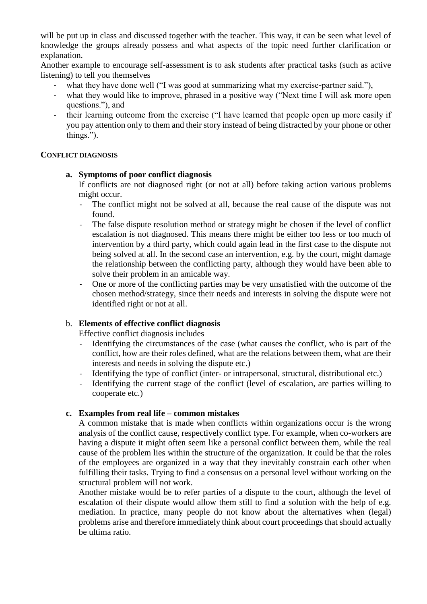will be put up in class and discussed together with the teacher. This way, it can be seen what level of knowledge the groups already possess and what aspects of the topic need further clarification or explanation.

Another example to encourage self-assessment is to ask students after practical tasks (such as active listening) to tell you themselves

- what they have done well ("I was good at summarizing what my exercise-partner said."),
- what they would like to improve, phrased in a positive way ("Next time I will ask more open questions."), and
- their learning outcome from the exercise ("I have learned that people open up more easily if you pay attention only to them and their story instead of being distracted by your phone or other things.").

## **CONFLICT DIAGNOSIS**

**a. Symptoms of poor conflict diagnosis**

If conflicts are not diagnosed right (or not at all) before taking action various problems might occur.

- The conflict might not be solved at all, because the real cause of the dispute was not found.
- The false dispute resolution method or strategy might be chosen if the level of conflict escalation is not diagnosed. This means there might be either too less or too much of intervention by a third party, which could again lead in the first case to the dispute not being solved at all. In the second case an intervention, e.g. by the court, might damage the relationship between the conflicting party, although they would have been able to solve their problem in an amicable way.
- One or more of the conflicting parties may be very unsatisfied with the outcome of the chosen method/strategy, since their needs and interests in solving the dispute were not identified right or not at all.

## b. **Elements of effective conflict diagnosis**

Effective conflict diagnosis includes

- Identifying the circumstances of the case (what causes the conflict, who is part of the conflict, how are their roles defined, what are the relations between them, what are their interests and needs in solving the dispute etc.)
- Identifying the type of conflict (inter- or intrapersonal, structural, distributional etc.)
- Identifying the current stage of the conflict (level of escalation, are parties willing to cooperate etc.)

## **c. Examples from real life – common mistakes**

A common mistake that is made when conflicts within organizations occur is the wrong analysis of the conflict cause, respectively conflict type. For example, when co-workers are having a dispute it might often seem like a personal conflict between them, while the real cause of the problem lies within the structure of the organization. It could be that the roles of the employees are organized in a way that they inevitably constrain each other when fulfilling their tasks. Trying to find a consensus on a personal level without working on the structural problem will not work.

Another mistake would be to refer parties of a dispute to the court, although the level of escalation of their dispute would allow them still to find a solution with the help of e.g. mediation. In practice, many people do not know about the alternatives when (legal) problems arise and therefore immediately think about court proceedings that should actually be ultima ratio.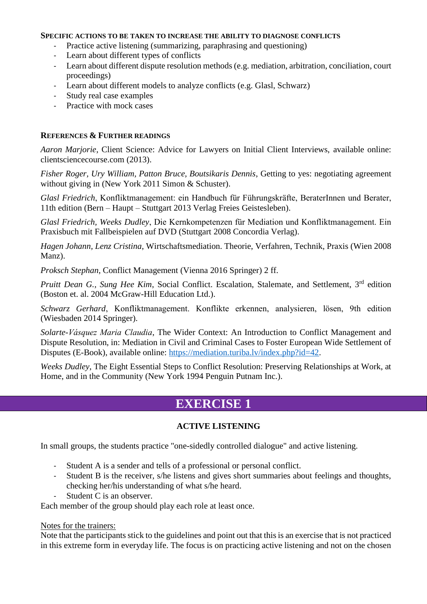#### **SPECIFIC ACTIONS TO BE TAKEN TO INCREASE THE ABILITY TO DIAGNOSE CONFLICTS**

- Practice active listening (summarizing, paraphrasing and questioning)
- Learn about different types of conflicts
- Learn about different dispute resolution methods (e.g. mediation, arbitration, conciliation, court proceedings)
- Learn about different models to analyze conflicts (e.g. Glasl, Schwarz)
- Study real case examples
- Practice with mock cases

## **REFERENCES & FURTHER READINGS**

*Aaron Marjorie*, Client Science: Advice for Lawyers on Initial Client Interviews, available online: clientsciencecourse.com (2013).

*Fisher Roger, Ury William, Patton Bruce, Boutsikaris Dennis*, Getting to yes: negotiating agreement without giving in (New York 2011 Simon & Schuster).

*Glasl Friedrich*, Konfliktmanagement: ein Handbuch für Führungskräfte, BeraterInnen und Berater, 11th edition (Bern – Haupt – Stuttgart 2013 Verlag Freies Geistesleben).

*Glasl Friedrich, Weeks Dudley*, Die Kernkompetenzen für Mediation und Konfliktmanagement. Ein Praxisbuch mit Fallbeispielen auf DVD (Stuttgart 2008 Concordia Verlag).

*Hagen Johann, Lenz Cristina*, Wirtschaftsmediation. Theorie, Verfahren, Technik, Praxis (Wien 2008 Manz).

*Proksch Stephan*, Conflict Management (Vienna 2016 Springer) 2 ff.

Pruitt Dean G., Sung Hee Kim, Social Conflict. Escalation, Stalemate, and Settlement, 3<sup>rd</sup> edition (Boston et. al. 2004 McGraw-Hill Education Ltd.).

*Schwarz Gerhard*, Konfliktmanagement. Konflikte erkennen, analysieren, lösen, 9th edition (Wiesbaden 2014 Springer).

*Solarte-Vásquez Maria Claudia*, The Wider Context: An Introduction to Conflict Management and Dispute Resolution, in: Mediation in Civil and Criminal Cases to Foster European Wide Settlement of Disputes (E-Book), available online: https://mediation.turiba.ly/index.php?id=42.

*Weeks Dudley*, The Eight Essential Steps to Conflict Resolution: Preserving Relationships at Work, at Home, and in the Community (New York 1994 Penguin Putnam Inc.).

# **EXERCISE 1**

## **ACTIVE LISTENING**

In small groups, the students practice "one-sidedly controlled dialogue" and active listening.

- Student A is a sender and tells of a professional or personal conflict.
- Student B is the receiver, s/he listens and gives short summaries about feelings and thoughts, checking her/his understanding of what s/he heard.
- Student C is an observer.

Each member of the group should play each role at least once.

#### Notes for the trainers:

Note that the participants stick to the guidelines and point out that this is an exercise that is not practiced in this extreme form in everyday life. The focus is on practicing active listening and not on the chosen